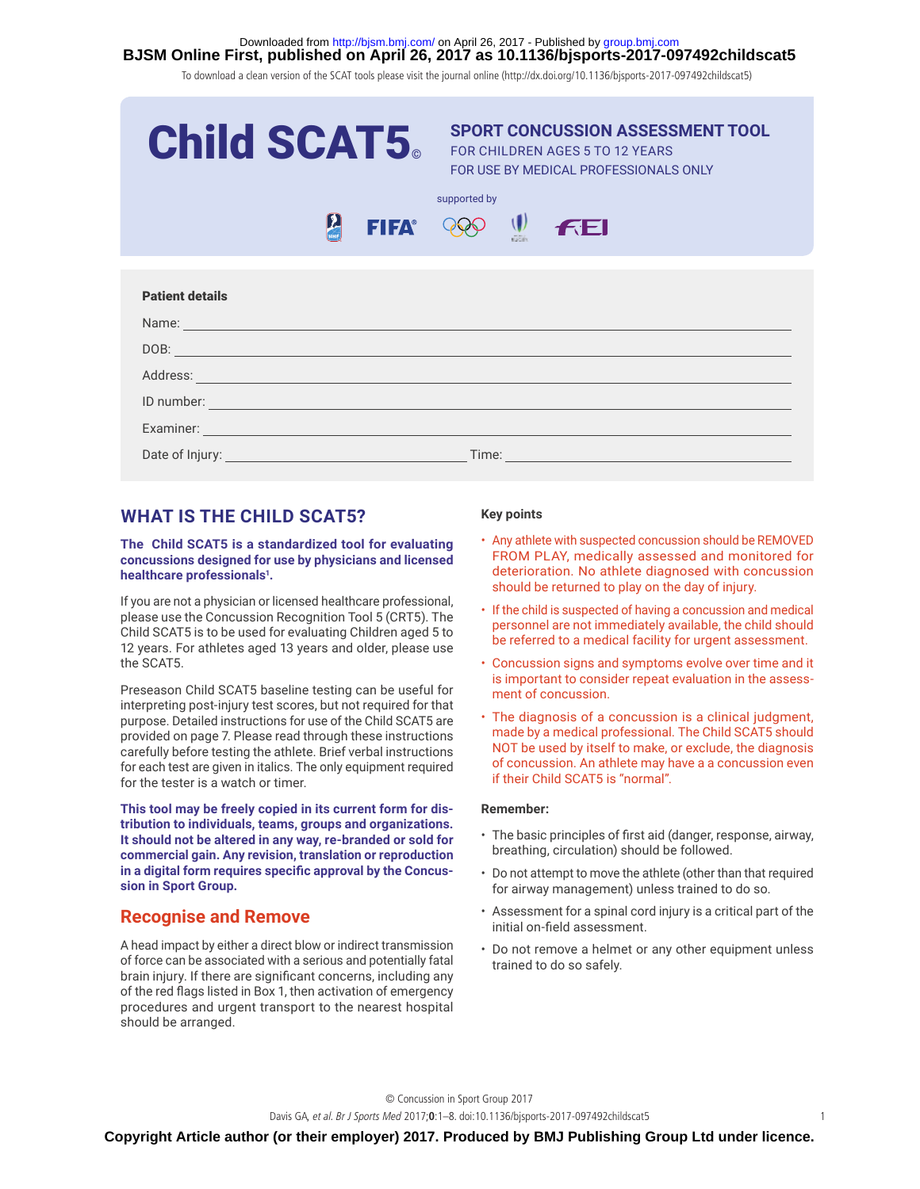### **BJSM Online First, published on April 26, 2017 as 10.1136/bjsports-2017-097492childscat5** Downloaded from http://bjsm.bmj.com/ on April 26, 2017 - Published by group.bmj.com

To download a clean version of the SCAT tools please visit the journal online (http://dx.doi.org/10.1136/bjsports-2017-097492childscat5)

| <b>Child SCAT5</b>                                                                                                                                                                                                                   |              | <b>SPORT CONCUSSION ASSESSMENT TOOL</b><br>FOR CHILDREN AGES 5 TO 12 YEARS<br>FOR USE BY MEDICAL PROFESSIONALS ONLY |         |  |  |  |  |
|--------------------------------------------------------------------------------------------------------------------------------------------------------------------------------------------------------------------------------------|--------------|---------------------------------------------------------------------------------------------------------------------|---------|--|--|--|--|
|                                                                                                                                                                                                                                      |              | supported by                                                                                                        |         |  |  |  |  |
| $\boldsymbol{\Omega}$                                                                                                                                                                                                                | <b>FIFA®</b> | $\mathbf{U}$                                                                                                        | $F = F$ |  |  |  |  |
|                                                                                                                                                                                                                                      |              |                                                                                                                     |         |  |  |  |  |
| <b>Patient details</b>                                                                                                                                                                                                               |              |                                                                                                                     |         |  |  |  |  |
| Name: Name: Name: Name: Name: Name: Name: Name: Name: Name: Name: Name: Name: Name: Name: Name: Name: Name: Name: Name: Name: Name: Name: Name: Name: Name: Name: Name: Name: Name: Name: Name: Name: Name: Name: Name: Name:        |              |                                                                                                                     |         |  |  |  |  |
|                                                                                                                                                                                                                                      |              |                                                                                                                     |         |  |  |  |  |
| Address: Address: Address: Address: Address: Address: Address: Address: Address: Address: Address: Address: Address: Address: Address: Address: Address: Address: Address: Address: Address: Address: Address: Address: Addres       |              |                                                                                                                     |         |  |  |  |  |
| ID number: and the contract of the contract of the contract of the contract of the contract of the contract of                                                                                                                       |              |                                                                                                                     |         |  |  |  |  |
| Examiner: <u>contract and contract and contract and contract and contract and contract and contract and contract and contract and contract and contract and contract and contract and contract and contract and contract and con</u> |              |                                                                                                                     |         |  |  |  |  |
| Date of Injury: Note of Injury:                                                                                                                                                                                                      |              | Time:                                                                                                               |         |  |  |  |  |

# **WHAT IS THE CHILD SCAT5?**

### **The Child SCAT5 is a standardized tool for evaluating concussions designed for use by physicians and licensed healthcare professionals1 .**

If you are not a physician or licensed healthcare professional, please use the Concussion Recognition Tool 5 (CRT5). The Child SCAT5 is to be used for evaluating Children aged 5 to 12 years. For athletes aged 13 years and older, please use the SCAT5.

Preseason Child SCAT5 baseline testing can be useful for interpreting post-injury test scores, but not required for that purpose. Detailed instructions for use of the Child SCAT5 are provided on page 7. Please read through these instructions carefully before testing the athlete. Brief verbal instructions for each test are given in italics. The only equipment required for the tester is a watch or timer.

**This tool may be freely copied in its current form for distribution to individuals, teams, groups and organizations. It should not be altered in any way, re-branded or sold for commercial gain. Any revision, translation or reproduction in a digital form requires specific approval by the Concussion in Sport Group.**

# **Recognise and Remove**

A head impact by either a direct blow or indirect transmission of force can be associated with a serious and potentially fatal brain injury. If there are significant concerns, including any of the red flags listed in Box 1, then activation of emergency procedures and urgent transport to the nearest hospital should be arranged.

### **Key points**

- Any athlete with suspected concussion should be REMOVED FROM PLAY, medically assessed and monitored for deterioration. No athlete diagnosed with concussion should be returned to play on the day of injury.
- If the child is suspected of having a concussion and medical personnel are not immediately available, the child should be referred to a medical facility for urgent assessment.
- Concussion signs and symptoms evolve over time and it is important to consider repeat evaluation in the assessment of concussion.
- The diagnosis of a concussion is a clinical judgment, made by a medical professional. The Child SCAT5 should NOT be used by itself to make, or exclude, the diagnosis of concussion. An athlete may have a a concussion even if their Child SCAT5 is "normal".

### **Remember:**

- The basic principles of first aid (danger, response, airway, breathing, circulation) should be followed.
- Do not attempt to move the athlete (other than that required for airway management) unless trained to do so.
- Assessment for a spinal cord injury is a critical part of the initial on-field assessment.
- Do not remove a helmet or any other equipment unless trained to do so safely.

1

Davis GA, et al. Br J Sports Med 2017;0:1-8. doi:10.1136/bjsports-2017-097492childscat5 © Concussion in Sport Group 2017

**Copyright Article author (or their employer) 2017. Produced by BMJ Publishing Group Ltd under licence.**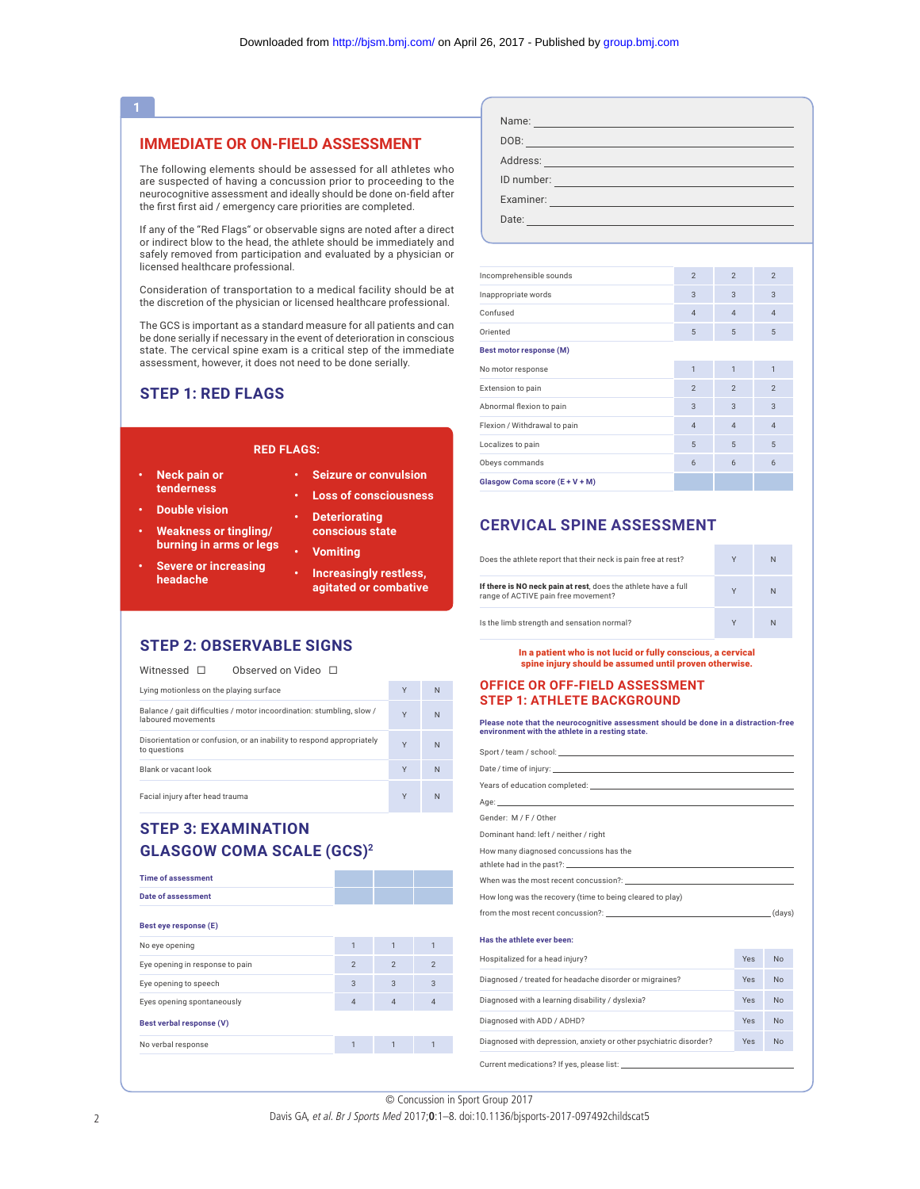# **IMMEDIATE OR ON-FIELD ASSESSMENT**

The following elements should be assessed for all athletes who are suspected of having a concussion prior to proceeding to the neurocognitive assessment and ideally should be done on-field after the first first aid / emergency care priorities are completed.

If any of the "Red Flags" or observable signs are noted after a direct or indirect blow to the head, the athlete should be immediately and safely removed from participation and evaluated by a physician or licensed healthcare professional.

Consideration of transportation to a medical facility should be at the discretion of the physician or licensed healthcare professional.

The GCS is important as a standard measure for all patients and can be done serially if necessary in the event of deterioration in conscious state. The cervical spine exam is a critical step of the immediate assessment, however, it does not need to be done serially.

# **STEP 1: RED FLAGS**

### **RED FLAGS:**

- **Neck pain or tenderness**
- **Double vision**
- **Weakness or tingling/ burning in arms or legs**
- **Severe or increasing headache**
- **Deteriorating**

**• Seizure or convulsion • Loss of consciousness**

- **conscious state • Vomiting**
	-
	- **Increasingly restless, agitated or combative**

# **STEP 2: OBSERVABLE SIGNS**

| Observed on Video $\Box$<br>Witnessed $\square$                                             |   |   |
|---------------------------------------------------------------------------------------------|---|---|
| Lying motionless on the playing surface                                                     | Υ | N |
| Balance / gait difficulties / motor incoordination: stumbling, slow /<br>laboured movements | Y | N |
| Disorientation or confusion, or an inability to respond appropriately<br>to questions       | Y | N |
| Blank or vacant look                                                                        | Y | N |
| Facial injury after head trauma                                                             | Y | N |

# **STEP 3: EXAMINATION GLASGOW COMA SCALE (GCS)2**

| <b>Time of assessment</b>       |                |                |                |
|---------------------------------|----------------|----------------|----------------|
| <b>Date of assessment</b>       |                |                |                |
| Best eye response (E)           |                |                |                |
| No eye opening                  | $\overline{1}$ | 1              | 1              |
| Eye opening in response to pain | $\overline{2}$ | $\mathfrak{D}$ | $\mathfrak{D}$ |
| Eye opening to speech           | 3              | 3              | 3              |
| Eyes opening spontaneously      | $\overline{4}$ | $\overline{4}$ | $\overline{4}$ |
| Best verbal response (V)        |                |                |                |
| No verbal response              | 1              |                |                |
|                                 |                |                |                |

| Name:<br>the contract of the contract of the contract of the contract of the contract of                                                                                                                                                    |
|---------------------------------------------------------------------------------------------------------------------------------------------------------------------------------------------------------------------------------------------|
| DOB:<br>and the control of the control of the control of the control of the control of the control of the control of the                                                                                                                    |
|                                                                                                                                                                                                                                             |
| ID number:<br>the control of the control of the control of the control of the control of the control of the control of the control of the control of the control of the control of the control of the control of the control of the control |
| Examiner:                                                                                                                                                                                                                                   |
| Date:                                                                                                                                                                                                                                       |
|                                                                                                                                                                                                                                             |

| Oriented                       | 5              | 5              | 5              |
|--------------------------------|----------------|----------------|----------------|
| <b>Best motor response (M)</b> |                |                |                |
| No motor response              | 1              | $\overline{1}$ | $\mathbf{1}$   |
| Extension to pain              | $\overline{2}$ | $\overline{2}$ | $\overline{2}$ |
| Abnormal flexion to pain       | 3              | $\overline{3}$ | 3              |
| Flexion / Withdrawal to pain   | $\overline{4}$ | $\overline{4}$ | $\overline{4}$ |
| Localizes to pain              | 5              | 5              | 5              |
| Obeys commands                 | 6              | 6              | 6              |
| Glasgow Coma score (E + V + M) |                |                |                |

# **CERVICAL SPINE ASSESSMENT**

| Does the athlete report that their neck is pain free at rest?                                         | Y      | N |
|-------------------------------------------------------------------------------------------------------|--------|---|
| If there is NO neck pain at rest, does the athlete have a full<br>range of ACTIVE pain free movement? | V      | N |
| Is the limb strength and sensation normal?                                                            | $\vee$ | N |

In a patient who is not lucid or fully conscious, a cervical spine injury should be assumed until proven otherwise.

### **OFFICE OR OFF-FIELD ASSESSMENT STEP 1: ATHLETE BACKGROUND**

**Please note that the neurocognitive assessment should be done in a distraction-free environment with the athlete in a resting state.** Sport / team / school:

| Date / time of injury: the contract of the contract of the contract of the contract of the contract of the contract of the contract of the contract of the contract of the contract of the contract of the contract of the con |            |           |
|--------------------------------------------------------------------------------------------------------------------------------------------------------------------------------------------------------------------------------|------------|-----------|
|                                                                                                                                                                                                                                |            |           |
|                                                                                                                                                                                                                                |            |           |
| Gender: M / F / Other                                                                                                                                                                                                          |            |           |
| Dominant hand: left / neither / right                                                                                                                                                                                          |            |           |
| How many diagnosed concussions has the<br>athlete had in the past?: service and in the past of the service of the service of the service of the service o                                                                      |            |           |
|                                                                                                                                                                                                                                |            |           |
| How long was the recovery (time to being cleared to play)                                                                                                                                                                      |            |           |
|                                                                                                                                                                                                                                |            |           |
| Has the athlete ever been:                                                                                                                                                                                                     |            |           |
| Hospitalized for a head injury?                                                                                                                                                                                                | Yes        | <b>No</b> |
| Diagnosed / treated for headache disorder or migraines?                                                                                                                                                                        | <b>Yes</b> | No        |
| Diagnosed with a learning disability / dyslexia?                                                                                                                                                                               | <b>Yes</b> | No        |
| Diagnosed with ADD / ADHD?                                                                                                                                                                                                     | <b>Yes</b> | No        |
| Diagnosed with depression, anxiety or other psychiatric disorder?                                                                                                                                                              | <b>Yes</b> | <b>No</b> |

© Concussion in Sport Group 2017

Current medications? If yes, please list:

Davis GA, et al. Br J Sports Med 2017;**0**:1–8. doi:10.1136/bjsports-2017-097492childscat5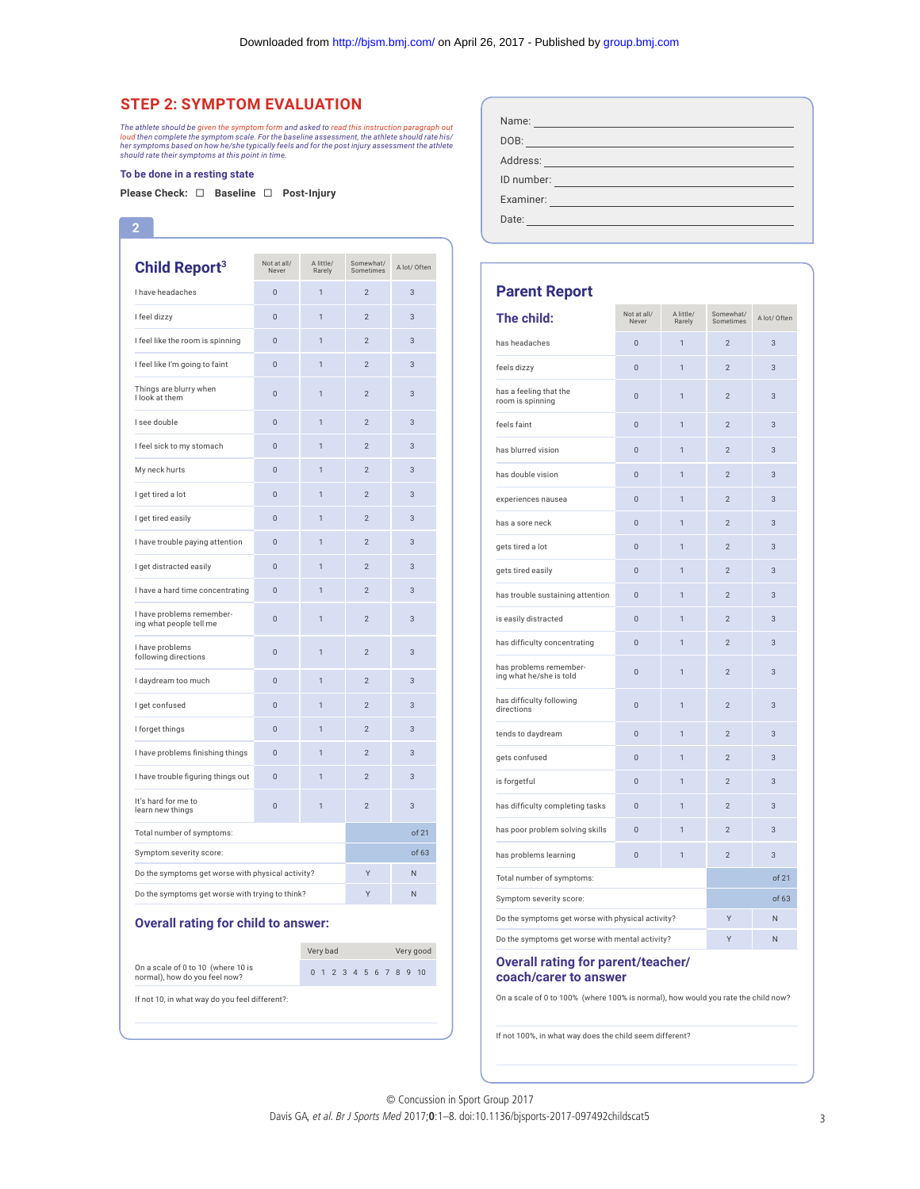# **STEP 2: SYMPTOM EVALUATION**

The athlete should be given the symptom form and asked to read this instruction paragraph out<br>loud then complete the symptom scale. For the baseline assessment, the athlete should rate his/<br>her symptoms based on how he/she

### **To be done in a resting state**

**Please Check:** □ Baseline □ Post-Injury

# **2**

| <b>Child Report3</b>                                 | Not at all/<br>Never | A little/<br>Rarely | Somewhat/<br>Sometimes   | A lot/ Often   |
|------------------------------------------------------|----------------------|---------------------|--------------------------|----------------|
| I have headaches                                     | $\overline{0}$       | $\overline{1}$      | $\overline{2}$           | 3              |
| I feel dizzv                                         | $\overline{0}$       | $\overline{1}$      | $\overline{2}$           | 3              |
| I feel like the room is spinning                     | $\overline{0}$       | $\overline{1}$      | $\overline{2}$           | 3              |
| I feel like I'm going to faint                       | $\overline{0}$       | 1                   | $\overline{2}$           | 3              |
| Things are blurry when<br>I look at them             | $\Omega$             | $\overline{1}$      | $\overline{\phantom{0}}$ | $\overline{3}$ |
| I see double                                         | $\overline{0}$       | 1                   | $\overline{2}$           | 3              |
| I feel sick to my stomach                            | $\overline{0}$       | $\overline{1}$      | $\overline{2}$           | 3              |
| My neck hurts                                        | 0                    | 1                   | $\overline{2}$           | 3              |
| I get tired a lot                                    | $\overline{0}$       | 1                   | $\overline{2}$           | 3              |
| I get tired easily                                   | $\Omega$             | $\overline{1}$      | $\overline{\phantom{0}}$ | $\overline{3}$ |
| I have trouble paying attention                      | 0                    | 1                   | $\overline{2}$           | 3              |
| I get distracted easily                              | $\overline{0}$       | 1                   | $\overline{2}$           | 3              |
| I have a hard time concentrating                     | $\overline{0}$       | 1                   | $\overline{2}$           | 3              |
| I have problems remember-<br>ing what people tell me | $\overline{0}$       | 1                   | $\overline{2}$           | 3              |
| I have problems<br>following directions              | $\overline{0}$       | $\overline{1}$      | $\overline{2}$           | 3              |
| I daydream too much                                  | $\Omega$             | $\overline{1}$      | $\overline{\phantom{0}}$ | $\overline{3}$ |
| I get confused                                       | $\overline{0}$       | 1                   | $\overline{2}$           | 3              |
| I forget things                                      | 0                    | 1                   | $\overline{2}$           | 3              |
| I have problems finishing things                     | $\overline{0}$       | 1                   | $\overline{2}$           | 3              |
| I have trouble figuring things out                   | $\overline{0}$       | $\overline{1}$      | $\overline{2}$           | 3              |
| It's hard for me to<br>learn new things              | $\overline{0}$       | $\overline{1}$      | $\overline{2}$           | 3              |
| Total number of symptoms:                            |                      |                     |                          | of 21          |
| Symptom severity score:                              |                      |                     |                          | of 63          |
| Do the symptoms get worse with physical activity?    |                      |                     | Y                        | N              |
| Do the symptoms get worse with trying to think?      |                      |                     | Υ                        | N              |

### **Overall rating for child to answer:**

|                                                                     | Very bad |  |  | Very good |  |  |  |                        |
|---------------------------------------------------------------------|----------|--|--|-----------|--|--|--|------------------------|
| On a scale of 0 to 10 (where 10 is<br>normal), how do you feel now? |          |  |  |           |  |  |  | 0 1 2 3 4 5 6 7 8 9 10 |
| If not 10, in what way do you feel different?:                      |          |  |  |           |  |  |  |                        |
|                                                                     |          |  |  |           |  |  |  |                        |

| Name:<br><u> 1970 - An Dùbhlachd ann an Dùbhlachd ann an Dùbhlachd ann an Dùbhlachd ann an Dùbhlachd ann an Dùbhlachd ann an Dùbhlachd ann an Dùbhlachd ann an Dùbhlachd ann an Dùbhlachd ann an Dùbhlachd ann an Dùbhlachd ann an Dùbhla</u> |  |
|-----------------------------------------------------------------------------------------------------------------------------------------------------------------------------------------------------------------------------------------------|--|
| DOB:<br>the control of the control of the control of the control of the control of the control of                                                                                                                                             |  |
| Address:<br><u> 1970 - Jan Stein Harry Harry Harry Harry Harry Harry Harry Harry Harry Harry Harry Harry Harry Harry Harry Har</u>                                                                                                            |  |
| ID number:<br>the contract of the contract of the contract of the contract of                                                                                                                                                                 |  |
| Examiner:                                                                                                                                                                                                                                     |  |
| Date:                                                                                                                                                                                                                                         |  |
|                                                                                                                                                                                                                                               |  |

| <b>Parent Report</b>                              |                      |                     |                          |              |  |  |  |  |  |
|---------------------------------------------------|----------------------|---------------------|--------------------------|--------------|--|--|--|--|--|
| The child:                                        | Not at all/<br>Never | A little/<br>Rarely | Somewhat/<br>Sometimes   | A lot/ Often |  |  |  |  |  |
| has headaches                                     | $\overline{0}$       | $\overline{1}$      | $\overline{2}$           | 3            |  |  |  |  |  |
| feels dizzy                                       | $\overline{0}$       | 1                   | $\overline{2}$           | 3            |  |  |  |  |  |
| has a feeling that the<br>room is spinning        | $\overline{0}$       | 1                   | $\overline{2}$           | 3            |  |  |  |  |  |
| feels faint                                       | $\overline{0}$       | 1                   | $\overline{2}$           | 3            |  |  |  |  |  |
| has blurred vision                                | $\overline{0}$       | 1                   | $\overline{2}$           | 3            |  |  |  |  |  |
| has double vision                                 | $\overline{0}$       | $\overline{1}$      | $\overline{2}$           | 3            |  |  |  |  |  |
| experiences nausea                                | $\overline{0}$       | $\overline{1}$      | $\overline{2}$           | 3            |  |  |  |  |  |
| has a sore neck                                   | 0                    | 1                   | $\overline{2}$           | 3            |  |  |  |  |  |
| gets tired a lot                                  | $\overline{0}$       | 1                   | $\overline{2}$           | 3            |  |  |  |  |  |
| gets tired easily                                 | $\overline{0}$       | 1                   | $\mathfrak{p}$           | 3            |  |  |  |  |  |
| has trouble sustaining attention                  | $\overline{0}$       | $\overline{1}$      | $\overline{2}$           | 3            |  |  |  |  |  |
| is easily distracted                              | $\Omega$             | $\overline{1}$      | $\overline{\phantom{0}}$ | 3            |  |  |  |  |  |
| has difficulty concentrating                      | 0                    | 1                   | $\overline{2}$           | 3            |  |  |  |  |  |
| has problems remember-<br>ing what he/she is told | $\overline{0}$       | $\overline{1}$      | $\overline{2}$           | 3            |  |  |  |  |  |
| has difficulty following<br>directions            | $\overline{0}$       | $\overline{1}$      | $\overline{2}$           | 3            |  |  |  |  |  |
| tends to daydream                                 | $\mathbf{0}$         | 1                   | $\overline{2}$           | 3            |  |  |  |  |  |
| gets confused                                     | 0                    | 1                   | $\overline{2}$           | 3            |  |  |  |  |  |
| is forgetful                                      | $\Omega$             | $\overline{1}$      | $\overline{2}$           | 3            |  |  |  |  |  |
| has difficulty completing tasks                   | $\overline{0}$       | 1                   | $\overline{2}$           | 3            |  |  |  |  |  |
| has poor problem solving skills                   | $\overline{0}$       | $\overline{1}$      | $\overline{2}$           | 3            |  |  |  |  |  |
| has problems learning                             | $\overline{0}$       | 1                   | $\overline{2}$           | 3            |  |  |  |  |  |
| Total number of symptoms:                         |                      |                     |                          | of 21        |  |  |  |  |  |
| Symptom severity score:                           |                      |                     |                          | of 63        |  |  |  |  |  |
| Do the symptoms get worse with physical activity? |                      |                     | Y                        | N            |  |  |  |  |  |
| Do the symptoms get worse with mental activity?   |                      |                     | Y                        | N            |  |  |  |  |  |

# **Overall rating for parent/teacher/ coach/carer to answer**

On a scale of 0 to 100% (where 100% is normal), how would you rate the child now?

If not 100%, in what way does the child seem different?

Davis GA, et al. Br J Sports Med 2017;**0**:1–8. doi:10.1136/bjsports-2017-097492childscat5 © Concussion in Sport Group 2017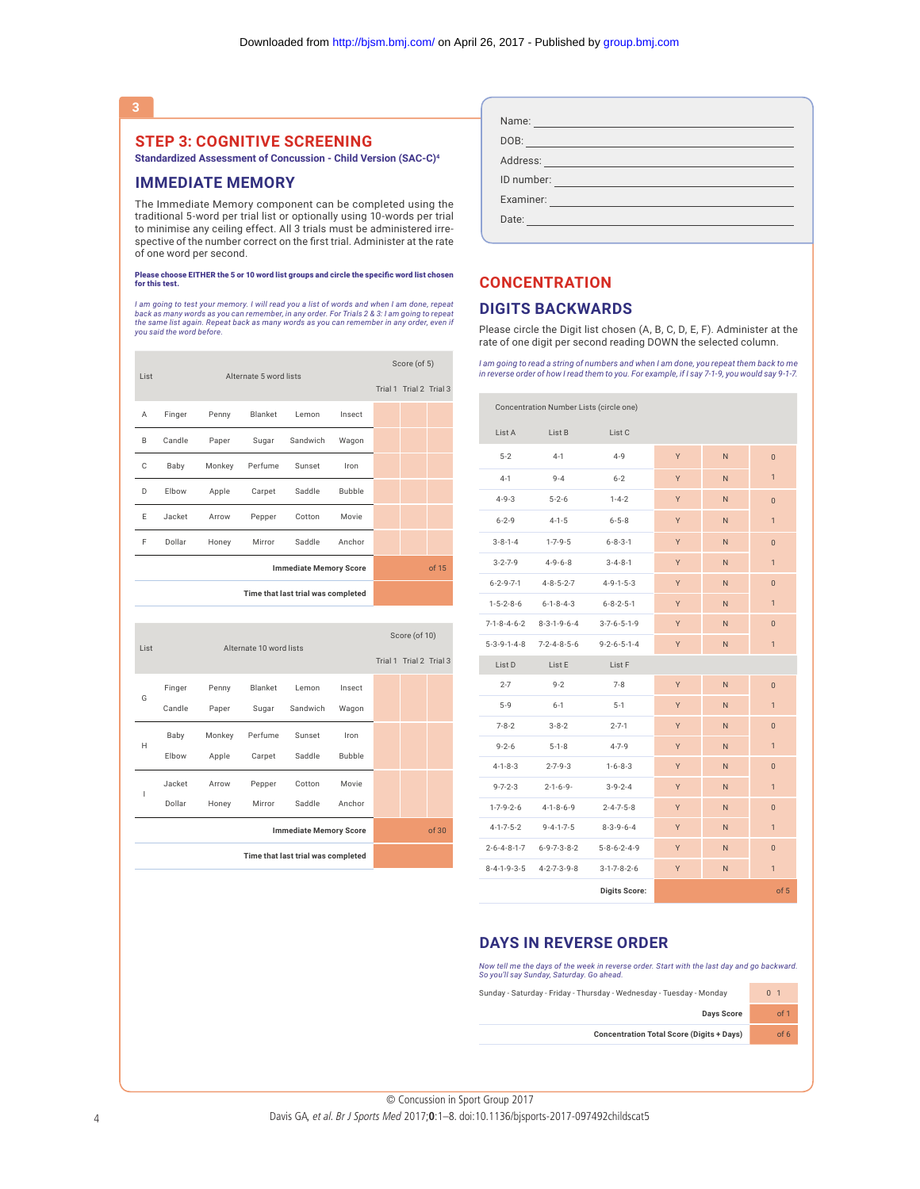# **STEP 3: COGNITIVE SCREENING**

# **Standardized Assessment of Concussion - Child Version (SAC-C)4**

# **IMMEDIATE MEMORY**

The Immediate Memory component can be completed using the traditional 5-word per trial list or optionally using 10-words per trial to minimise any ceiling effect. All 3 trials must be administered irrespective of the number correct on the first trial. Administer at the rate of one word per second.

#### Please choose EITHER the 5 or 10 word list groups and circle the specific word list chosen for this test.

l am going to test your memory. I will read you a list of words and when I am done, repeat<br>back as many words as you can remember, in any order. For Trials 2 & 3: l am going to repeat<br>the same list again. Repeat back as ma *you said the word before.*

| List                               |                               |        |                         | Score (of 5) |        |  |  |       |
|------------------------------------|-------------------------------|--------|-------------------------|--------------|--------|--|--|-------|
|                                    |                               |        | Trial 1 Trial 2 Trial 3 |              |        |  |  |       |
| Α                                  | Finger                        | Penny  | Blanket                 | Lemon        | Insect |  |  |       |
| B                                  | Candle                        | Paper  | Sugar                   | Sandwich     | Wagon  |  |  |       |
| С                                  | Baby                          | Monkey | Perfume                 | Sunset       | Iron   |  |  |       |
| D                                  | Elbow                         | Apple  | Carpet                  | Saddle       | Bubble |  |  |       |
| E                                  | Jacket                        | Arrow  | Pepper                  | Cotton       | Movie  |  |  |       |
| F                                  | Dollar                        | Honey  | Mirror                  | Saddle       | Anchor |  |  |       |
|                                    | <b>Immediate Memory Score</b> |        |                         |              |        |  |  | of 15 |
| Time that last trial was completed |                               |        |                         |              |        |  |  |       |

| List | Alternate 10 word lists |        |         | Score (of 10)                      |        |  |                         |       |
|------|-------------------------|--------|---------|------------------------------------|--------|--|-------------------------|-------|
|      |                         |        |         |                                    |        |  | Trial 1 Trial 2 Trial 3 |       |
| G    | Finger                  | Penny  | Blanket | Lemon                              | Insect |  |                         |       |
|      | Candle                  | Paper  | Sugar   | Sandwich                           | Wagon  |  |                         |       |
| н    | Baby                    | Monkey | Perfume | Sunset                             | Iron   |  |                         |       |
|      | Elbow                   | Apple  | Carpet  | Saddle                             | Bubble |  |                         |       |
| ı    | Jacket                  | Arrow  | Pepper  | Cotton                             | Movie  |  |                         |       |
|      | Dollar                  | Honey  | Mirror  | Saddle                             | Anchor |  |                         |       |
|      |                         |        |         | <b>Immediate Memory Score</b>      |        |  |                         | of 30 |
|      |                         |        |         | Time that last trial was completed |        |  |                         |       |

| Name:      |                                                                            |                                                                                                                                                                                                                               |  |
|------------|----------------------------------------------------------------------------|-------------------------------------------------------------------------------------------------------------------------------------------------------------------------------------------------------------------------------|--|
| DOB:       | the control of the control of the control of the control of the control of |                                                                                                                                                                                                                               |  |
| Address:   |                                                                            | the control of the control of the control of the control of the control of                                                                                                                                                    |  |
| ID number: |                                                                            | the control of the control of the control of the control of the control of the control of the control of the control of the control of the control of the control of the control of the control of the control of the control |  |
| Examiner:  |                                                                            |                                                                                                                                                                                                                               |  |
| Date:      |                                                                            |                                                                                                                                                                                                                               |  |

# **CONCENTRATION**

# **DIGITS BACKWARDS**

Please circle the Digit list chosen (A, B, C, D, E, F). Administer at the rate of one digit per second reading DOWN the selected column.

*I am going to read a string of numbers and when I am done, you repeat them back to me in reverse order of how I read them to you. For example, if I say 7-1-9, you would say 9-1-7.*

| Concentration Number Lists (circle one) |                         |                         |   |    |                |
|-----------------------------------------|-------------------------|-------------------------|---|----|----------------|
| List A                                  | List B                  | List <sub>C</sub>       |   |    |                |
| $5 - 2$                                 | $4 - 1$                 | $4 - 9$                 | Y | N. | $\overline{0}$ |
| $4 - 1$                                 | $9 - 4$                 | $6 - 2$                 | Y | N  | $\mathbf{1}$   |
| $4 - 9 - 3$                             | $5 - 2 - 6$             | $1 - 4 - 2$             | Y | N  | $\overline{0}$ |
| $6 - 2 - 9$                             | $4 - 1 - 5$             | $6 - 5 - 8$             | Y | N  | $\overline{1}$ |
| $3 - 8 - 1 - 4$                         | $1 - 7 - 9 - 5$         | $6 - 8 - 3 - 1$         | Y | N  | $\overline{0}$ |
| $3 - 2 - 7 - 9$                         | $4 - 9 - 6 - 8$         | $3 - 4 - 8 - 1$         | Y | N  | $\mathbf{1}$   |
| $6 - 2 - 9 - 7 - 1$                     | $4 - 8 - 5 - 2 - 7$     | $4 - 9 - 1 - 5 - 3$     | Y | N  | $\overline{0}$ |
| $1 - 5 - 2 - 8 - 6$                     | $6 - 1 - 8 - 4 - 3$     | $6 - 8 - 2 - 5 - 1$     | Y | N  | $\mathbf{1}$   |
| $7 - 1 - 8 - 4 - 6 - 2$                 | $8-3-1-9-6-4$           | $3 - 7 - 6 - 5 - 1 - 9$ | Y | N  | $\overline{0}$ |
| $5 - 3 - 9 - 1 - 4 - 8$                 | $7 - 2 - 4 - 8 - 5 - 6$ | $9 - 2 - 6 - 5 - 1 - 4$ | Y | N  | $\mathbf{1}$   |
| List D                                  | List E                  | List F                  |   |    |                |
| $2 - 7$                                 | $9 - 2$                 | $7 - 8$                 | Y | N  | $\overline{0}$ |
| $5 - 9$                                 | $6 - 1$                 | $5-1$                   | Y | N  | $\mathbf{1}$   |
| $7 - 8 - 2$                             | $3 - 8 - 2$             | $2 - 7 - 1$             | Y | N  | $\Omega$       |
| $9 - 2 - 6$                             | $5 - 1 - 8$             | $4 - 7 - 9$             | Y | N  | $\mathbf{1}$   |
| $4 - 1 - 8 - 3$                         | $2 - 7 - 9 - 3$         | $1 - 6 - 8 - 3$         | Y | N  | $\overline{0}$ |
| $9 - 7 - 2 - 3$                         | $2 - 1 - 6 - 9 -$       | $3 - 9 - 2 - 4$         | Y | N  | $\mathbf{1}$   |
| $1 - 7 - 9 - 2 - 6$                     | $4 - 1 - 8 - 6 - 9$     | $2 - 4 - 7 - 5 - 8$     | Y | N  | $\overline{0}$ |
| $4 - 1 - 7 - 5 - 2$                     | $9 - 4 - 1 - 7 - 5$     | $8 - 3 - 9 - 6 - 4$     | Y | N  | $\mathbf{1}$   |
| $2 - 6 - 4 - 8 - 1 - 7$                 | $6 - 9 - 7 - 3 - 8 - 2$ | $5 - 8 - 6 - 2 - 4 - 9$ | Y | N  | $\overline{0}$ |
| $8 - 4 - 1 - 9 - 3 - 5$                 | $4 - 2 - 7 - 3 - 9 - 8$ | $3-1-7-8-2-6$           | Y | N. | $\mathbf{1}$   |
|                                         |                         | <b>Digits Score:</b>    |   |    | of 5           |

# **DAYS IN REVERSE ORDER**

*Now tell me the days of the week in reverse order. Start with the last day and go backward. So you'll say Sunday, Saturday. Go ahead.*

Sunday - Saturday - Friday - Thursday - Wednesday - Tuesday - Monday 0 1

**Days Score** of 1

**Concentration Total Score (Digits + Days)** of 6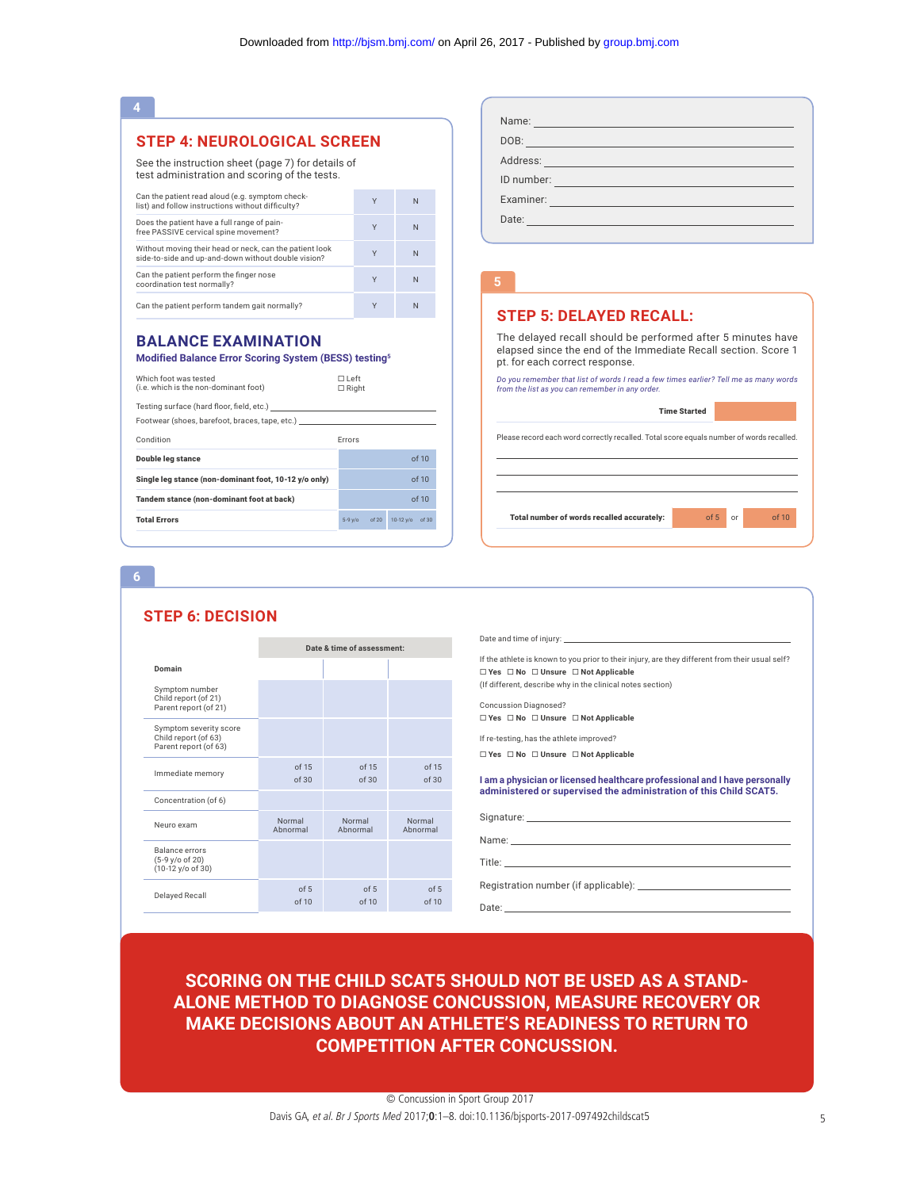# **STEP 4: NEUROLOGICAL SCREEN**

See the instruction sheet (page 7) for details of test administration and scoring of the tests.

| Can the patient read aloud (e.g. symptom check-<br>list) and follow instructions without difficulty?           | Y | N |
|----------------------------------------------------------------------------------------------------------------|---|---|
| Does the patient have a full range of pain-<br>free PASSIVE cervical spine movement?                           | Y | N |
| Without moving their head or neck, can the patient look<br>side-to-side and up-and-down without double vision? | γ | N |
| Can the patient perform the finger nose<br>coordination test normally?                                         | Y | N |
| Can the patient perform tandem gait normally?                                                                  | Υ | N |

# **BALANCE EXAMINATION**

### **Modified Balance Error Scoring System (BESS) testing5**

| Which foot was tested<br>(i.e. which is the non-dominant foot)                              | $\Box$ Left<br>$\Box$ Right |       |             |       |
|---------------------------------------------------------------------------------------------|-----------------------------|-------|-------------|-------|
| Testing surface (hard floor, field, etc.)<br>Footwear (shoes, barefoot, braces, tape, etc.) |                             |       |             |       |
| Condition                                                                                   | <b>Errors</b>               |       |             |       |
| Double lea stance                                                                           |                             |       |             | of 10 |
| Single leg stance (non-dominant foot, 10-12 y/o only)                                       |                             |       |             | of 10 |
| Tandem stance (non-dominant foot at back)                                                   |                             |       |             | of 10 |
| <b>Total Errors</b>                                                                         | $5-9$ $v$ / $o$             | of 20 | $10-12$ v/o | of 30 |

# Name: DOB: Address: ID number: Examiner: Date:

### **STEP 5: DELAYED RECALL:**

The delayed recall should be performed after 5 minutes have elapsed since the end of the Immediate Recall section. Score 1 pt. for each correct response.

*Do you remember that list of words I read a few times earlier? Tell me as many words from the list as you can remember in any order.*

|                                                                                          | <b>Time Started</b> |           |       |
|------------------------------------------------------------------------------------------|---------------------|-----------|-------|
| Please record each word correctly recalled. Total score equals number of words recalled. |                     |           |       |
|                                                                                          |                     |           |       |
|                                                                                          |                     |           |       |
| Total number of words recalled accurately:                                               |                     | $of 5$ or | of 10 |

### **6**

# **STEP 6: DECISION**

|                                                                          | Date & time of assessment: |                    |                    |  |
|--------------------------------------------------------------------------|----------------------------|--------------------|--------------------|--|
| Domain                                                                   |                            |                    |                    |  |
| Symptom number<br>Child report (of 21)<br>Parent report (of 21)          |                            |                    |                    |  |
| Symptom severity score<br>Child report (of 63)<br>Parent report (of 63)  |                            |                    |                    |  |
| Immediate memory                                                         | of 15<br>of 30             | of 15<br>of 30     | of 15<br>of 30     |  |
| Concentration (of 6)                                                     |                            |                    |                    |  |
| Neuro exam                                                               | Normal<br>Abnormal         | Normal<br>Abnormal | Normal<br>Abnormal |  |
| <b>Balance errors</b><br>(5-9 y/o of 20)<br>$(10-12 \text{ y/o of } 30)$ |                            |                    |                    |  |
| <b>Delayed Recall</b>                                                    | of 5<br>of 10              | of 5<br>of 10      | of 5<br>of 10      |  |

| Date and time of injury: Date and time of injury:                                                                                                                                                                              |
|--------------------------------------------------------------------------------------------------------------------------------------------------------------------------------------------------------------------------------|
| If the athlete is known to you prior to their injury, are they different from their usual self?<br>$\Box$ Yes $\Box$ No $\Box$ Unsure $\Box$ Not Applicable<br>(If different, describe why in the clinical notes section)      |
| <b>Concussion Diagnosed?</b>                                                                                                                                                                                                   |
| $\Box$ Yes $\Box$ No $\Box$ Unsure $\Box$ Not Applicable                                                                                                                                                                       |
| If re-testing, has the athlete improved?                                                                                                                                                                                       |
| $\Box$ Yes $\Box$ No $\Box$ Unsure $\Box$ Not Applicable                                                                                                                                                                       |
| I am a physician or licensed healthcare professional and I have personally<br>administered or supervised the administration of this Child SCAT5.                                                                               |
|                                                                                                                                                                                                                                |
| Name: Name: All and the state of the state of the state of the state of the state of the state of the state of the state of the state of the state of the state of the state of the state of the state of the state of the sta |
|                                                                                                                                                                                                                                |

Registration number (if applicable):

Date:

# **SCORING ON THE CHILD SCAT5 SHOULD NOT BE USED AS A STAND-ALONE METHOD TO DIAGNOSE CONCUSSION, MEASURE RECOVERY OR MAKE DECISIONS ABOUT AN ATHLETE'S READINESS TO RETURN TO COMPETITION AFTER CONCUSSION.**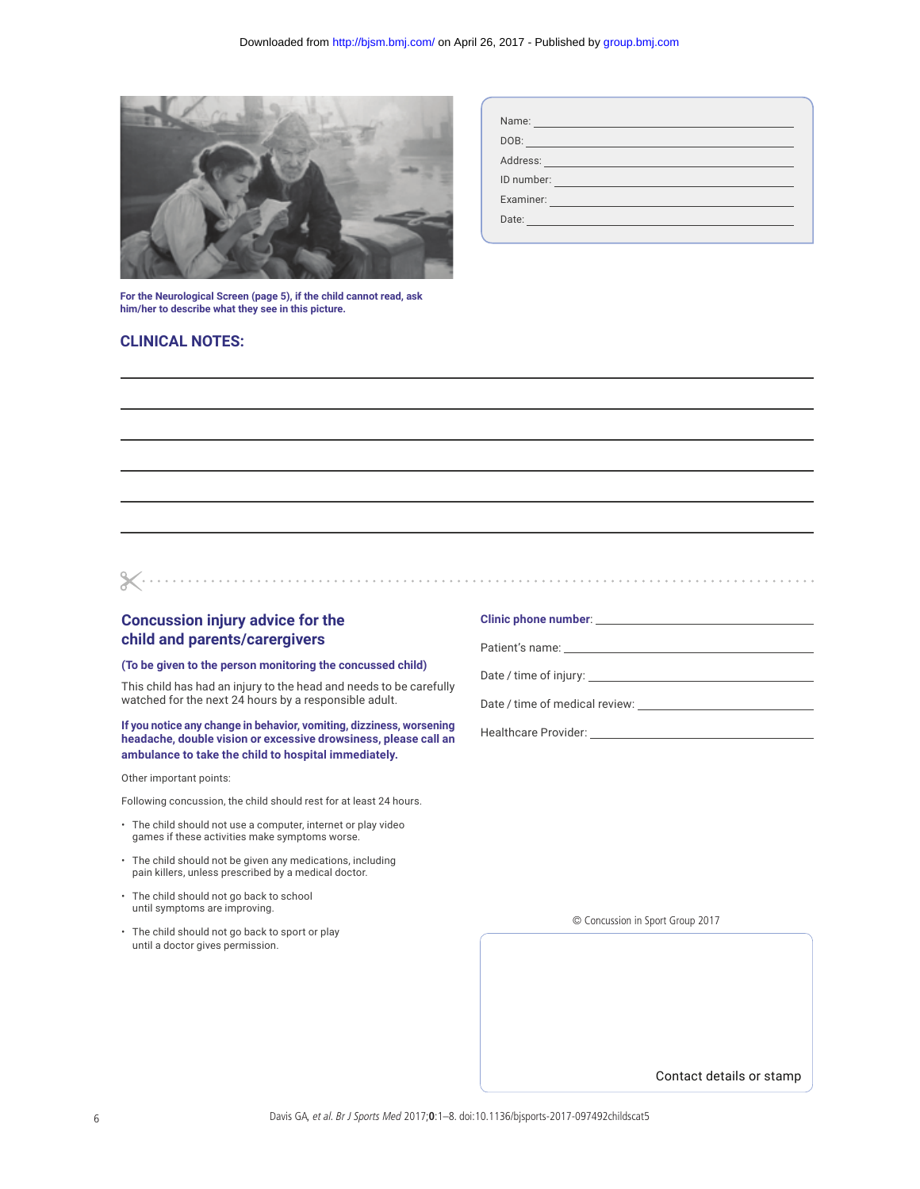

**For the Neurological Screen (page 5), if the child cannot read, ask him/her to describe what they see in this picture.**

| Name:<br><u> 1989 - John Stone, mars et al. (</u>                                  |  |
|------------------------------------------------------------------------------------|--|
| DOB:<br>the control of the control of the control of the control of the control of |  |
|                                                                                    |  |
| ID number:<br><u> 1970 - John Harrison, mars et al.</u>                            |  |
| Examiner:<br><u> 1989 - Johann Barnett, fransk politik (d. 1989)</u>               |  |
| Date:<br><u> 1989 - Andrea Station, Amerikaansk politiker (</u>                    |  |
|                                                                                    |  |

# **CLINICAL NOTES:**

| <b>Concussion injury advice for the</b> |  |
|-----------------------------------------|--|
| child and parents/carergivers           |  |

### **(To be given to the person monitoring the concussed child)**

This child has had an injury to the head and needs to be carefully watched for the next 24 hours by a responsible adult.

**If you notice any change in behavior, vomiting, dizziness, worsening headache, double vision or excessive drowsiness, please call an ambulance to take the child to hospital immediately.**

Other important points:

Following concussion, the child should rest for at least 24 hours.

- The child should not use a computer, internet or play video games if these activities make symptoms worse.
- The child should not be given any medications, including pain killers, unless prescribed by a medical doctor.
- The child should not go back to school until symptoms are improving.
- The child should not go back to sport or play until a doctor gives permission.

## **Clinic phone number**:

Patient's name:

Date / time of injury: \_\_\_\_

Date / time of medical review:

Healthcare Provider:

© Concussion in Sport Group 2017

Contact details or stamp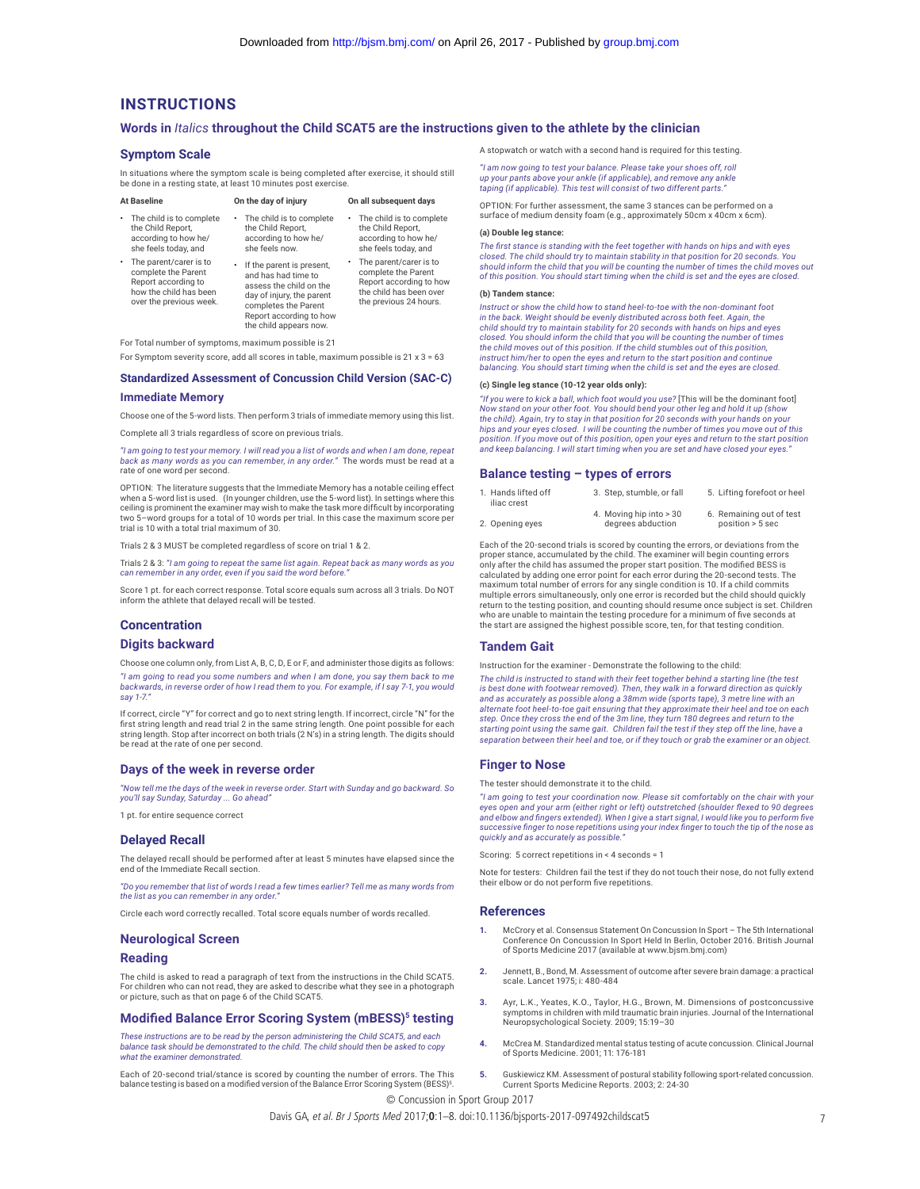### **INSTRUCTIONS**

### **Words in** *Italics* **throughout the Child SCAT5 are the instructions given to the athlete by the clinician**

### **Symptom Scale**

In situations where the symptom scale is being completed after exercise, it should still be done in a resting state, at least 10 minutes post exercise.

| <b>At Baseline</b>                                                                                                        | On the day of injury                                                                                                                                                                    | On all subsequent days                                                                                                          |  |
|---------------------------------------------------------------------------------------------------------------------------|-----------------------------------------------------------------------------------------------------------------------------------------------------------------------------------------|---------------------------------------------------------------------------------------------------------------------------------|--|
| The child is to complete<br>the Child Report,<br>according to how he/<br>she feels today, and                             | • The child is to complete<br>the Child Report,<br>according to how he/<br>she feels now.                                                                                               | • The child is to complete<br>the Child Report,<br>according to how he/<br>she feels today, and                                 |  |
| The parent/carer is to<br>complete the Parent<br>Report according to<br>how the child has been<br>over the previous week. | • If the parent is present,<br>and has had time to<br>assess the child on the<br>day of injury, the parent<br>completes the Parent<br>Report according to how<br>the child appears now. | • The parent/carer is to<br>complete the Parent<br>Report according to how<br>the child has been over<br>the previous 24 hours. |  |

For Total number of symptoms, maximum possible is 21

For Symptom severity score, add all scores in table, maximum possible is 21 x 3 = 63

# **Standardized Assessment of Concussion Child Version (SAC-C)**

### **Immediate Memory**

Choose one of the 5-word lists. Then perform 3 trials of immediate memory using this list.

Complete all 3 trials regardless of score on previous trials.

*"I am going to test your memory. I will read you a list of words and when I am done, repeat*  back as many words as you can remember, in any order." The words must be read at a rate of one word per second.

OPTION: The literature suggests that the Immediate Memory has a notable ceiling effect when a 5-word list is used. (In younger children, use the 5-word list). In settings where this ceiling is prominent the examiner may wish to make the task more difficult by incorporating ceiling. two 5–word groups for a total of 10 words per trial. In this case the maximum score per trial is 10 with a total trial maximum of 30.

Trials 2 & 3 MUST be completed regardless of score on trial 1 & 2.

Trials 2 & 3: *"I am going to repeat the same list again. Repeat back as many words as you can remember in any order, even if you said the word before."*

Score 1 pt. for each correct response. Total score equals sum across all 3 trials. Do NOT inform the athlete that delayed recall will be tested.

### **Concentration**

### **Digits backward**

Choose one column only, from List A, B, C, D, E or F, and administer those digits as follows: *"I am going to read you some numbers and when I am done, you say them back to me backwards, in reverse order of how I read them to you. For example, if I say 7-1, you would say 1-7."*

If correct, circle "Y" for correct and go to next string length. If incorrect, circle "N" for the first string length and read trial 2 in the same string length. One point possible for each string length. Stop after incorrect on both trials (2 N's) in a string length. The digits should be read at the rate of one per second.

### **Days of the week in reverse order**

*"Now tell me the days of the week in reverse order. Start with Sunday and go backward. So you'll say Sunday, Saturday ... Go ahead"*

1 pt. for entire sequence correct

### **Delayed Recall**

The delayed recall should be performed after at least 5 minutes have elapsed since the end of the Immediate Recall section.

*"Do you remember that list of words I read a few times earlier? Tell me as many words from the list as you can remember in any order."*

Circle each word correctly recalled. Total score equals number of words recalled.

### **Neurological Screen**

### **Reading**

The child is asked to read a paragraph of text from the instructions in the Child SCAT5. For children who can not read, they are asked to describe what they see in a photograph or picture, such as that on page 6 of the Child SCAT5.

### **Modified Balance Error Scoring System (mBESS)5 testing**

*These instructions are to be read by the person administering the Child SCAT5, and each balance task should be demonstrated to the child. The child should then be asked to copy what the examiner demonstrated.*

Each of 20-second trial/stance is scored by counting the number of errors. The This balance testing is based on a modified version of the Balance Error Scoring System (BESS)<sup>5</sup>

A stopwatch or watch with a second hand is required for this testing.

*"I am now going to test your balance. Please take your shoes off, roll up your pants above your ankle (if applicable), and remove any ankle taping (if applicable). This test will consist of two different parts."*

OPTION: For further assessment, the same 3 stances can be performed on a surface of medium density foam (e.g., approximately 50cm x 40cm x 6cm).

#### **(a) Double leg stance:**

*The first stance is standing with the feet together with hands on hips and with eyes closed. The child should try to maintain stability in that position for 20 seconds. You should inform the child that you will be counting the number of times the child moves out of this position. You should start timing when the child is set and the eyes are closed.*

#### **(b) Tandem stance:**

*Instruct or show the child how to stand heel-to-toe with the non-dominant foot in the back. Weight should be evenly distributed across both feet. Again, the child should try to maintain stability for 20 seconds with hands on hips and eyes closed. You should inform the child that you will be counting the number of times the child moves out of this position. If the child stumbles out of this position, instruct him/her to open the eyes and return to the start position and continue balancing. You should start timing when the child is set and the eyes are closed.*

#### **(c) Single leg stance (10-12 year olds only):**

*"If you were to kick a ball, which foot would you use?* [This will be the dominant foot] *Now stand on your other foot. You should bend your other leg and hold it up (show*  the child). Again, try to stay in that position for 20 seconds with your hands on your<br>hips and your eyes closed. I will be counting the number of times you move out of this *position. If you move out of this position, open your eyes and return to the start position and keep balancing. I will start timing when you are set and have closed your eyes."* 

#### **Balance testing – types of errors**

| 1. Hands lifted off<br>iliac crest | 3. Step. stumble, or fall                    | 5. Lifting forefoot or heel                  |
|------------------------------------|----------------------------------------------|----------------------------------------------|
| 2. Opening eyes                    | 4. Moving hip into > 30<br>degrees abduction | 6. Remaining out of test<br>position > 5 sec |

Each of the 20-second trials is scored by counting the errors, or deviations from the proper stance, accumulated by the child. The examiner will begin counting errors only after the child has assumed the proper start position. The modified BESS is calculated by adding one error point for each error during the 20-second tests. The maximum total number of errors for any single condition is 10. If a child commits multiple errors simultaneously, only one error is recorded but the child should quickly return to the testing position, and counting should resume once subject is set. Children who are unable to maintain the testing procedure for a minimum of five seconds at the start are assigned the highest possible score, ten, for that testing condition.

### **Tandem Gait**

Instruction for the examiner - Demonstrate the following to the child:

*The child is instructed to stand with their feet together behind a starting line (the test is best done with footwear removed). Then, they walk in a forward direction as quickly and as accurately as possible along a 38mm wide (sports tape), 3 metre line with an alternate foot heel-to-toe gait ensuring that they approximate their heel and toe on each step. Once they cross the end of the 3m line, they turn 180 degrees and return to the starting point using the same gait. Children fail the test if they step off the line, have a separation between their heel and toe, or if they touch or grab the examiner or an object.*

### **Finger to Nose**

The tester should demonstrate it to the child.

*"I am going to test your coordination now. Please sit comfortably on the chair with your eyes open and your arm (either right or left) outstretched (shoulder flexed to 90 degrees and elbow and fingers extended). When I give a start signal, I would like you to perform five successive finger to nose repetitions using your index finger to touch the tip of the nose as quickly and as accurately as possible."*

Scoring: 5 correct repetitions in < 4 seconds = 1

Note for testers: Children fail the test if they do not touch their nose, do not fully extend their elbow or do not perform five repetitions.

#### **References**

- **1.** McCrory et al. Consensus Statement On Concussion In Sport The 5th International Conference On Concussion In Sport Held In Berlin, October 2016. British Journal of Sports Medicine 2017 (available at www.bjsm.bmj.com)
- **2.** Jennett, B., Bond, M. Assessment of outcome after severe brain damage: a practical scale. Lancet 1975; i: 480-484
- **3.** Ayr, L.K., Yeates, K.O., Taylor, H.G., Brown, M. Dimensions of postconcussive symptoms in children with mild traumatic brain injuries. Journal of the International Neuropsychological Society. 2009; 15:19–30
- **4.** McCrea M. Standardized mental status testing of acute concussion. Clinical Journal of Sports Medicine. 2001; 11: 176-181
- **5.** Guskiewicz KM. Assessment of postural stability following sport-related concussion. Current Sports Medicine Reports. 2003; 2: 24-30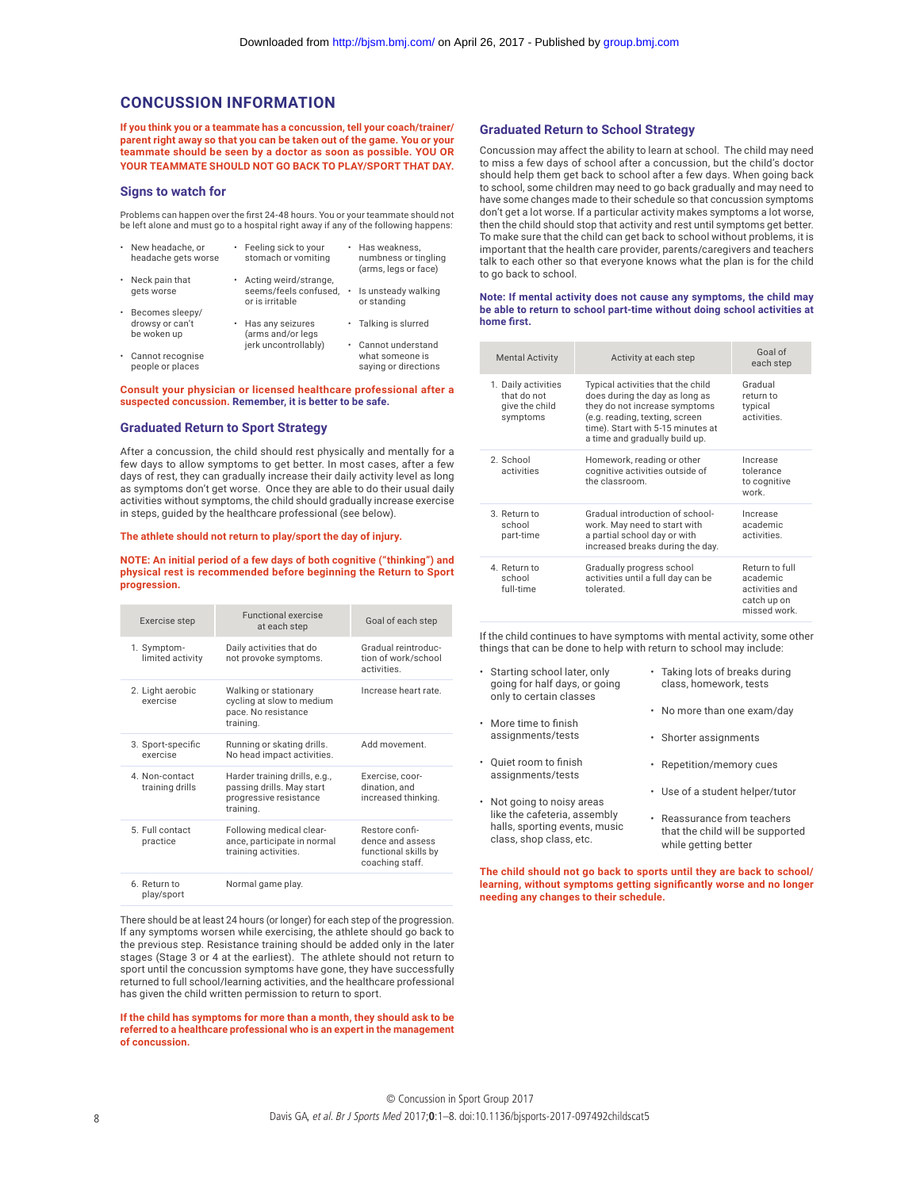# **CONCUSSION INFORMATION**

**If you think you or a teammate has a concussion, tell your coach/trainer/ parent right away so that you can be taken out of the game. You or your teammate should be seen by a doctor as soon as possible. YOU OR YOUR TEAMMATE SHOULD NOT GO BACK TO PLAY/SPORT THAT DAY.**

### **Signs to watch for**

Problems can happen over the first 24-48 hours. You or your teammate should not be left alone and must go to a hospital right away if any of the following happens:

|   | • New headache, or<br>headache gets worse | ٠ | Feeling sick to your<br>stomach or vomiting                       |           | • Has weakness.<br>numbness or tingling<br>(arms, legs or face) |
|---|-------------------------------------------|---|-------------------------------------------------------------------|-----------|-----------------------------------------------------------------|
| ٠ | Neck pain that<br>gets worse              | ٠ | Acting weird/strange,<br>seems/feels confused,<br>or is irritable | ٠         | Is unsteady walking<br>or standing                              |
| ٠ | Becomes sleepy/                           |   |                                                                   |           |                                                                 |
|   | drowsy or can't<br>be woken up            | ٠ | Has any seizures<br>(arms and/or legs                             |           | · Talking is slurred                                            |
|   |                                           |   | jerk uncontrollably)                                              | $\bullet$ | Cannot understand                                               |
|   | • Cannot recognise                        |   |                                                                   |           | what someone is                                                 |

people or places saying or directions

**Consult your physician or licensed healthcare professional after a suspected concussion. Remember, it is better to be safe.**

### **Graduated Return to Sport Strategy**

After a concussion, the child should rest physically and mentally for a few days to allow symptoms to get better. In most cases, after a few days of rest, they can gradually increase their daily activity level as long as symptoms don't get worse. Once they are able to do their usual daily activities without symptoms, the child should gradually increase exercise in steps, guided by the healthcare professional (see below).

### **The athlete should not return to play/sport the day of injury.**

**NOTE: An initial period of a few days of both cognitive ("thinking") and physical rest is recommended before beginning the Return to Sport progression.** 

| Exercise step                    | <b>Functional exercise</b><br>at each step                                                        | Goal of each step                                                             |
|----------------------------------|---------------------------------------------------------------------------------------------------|-------------------------------------------------------------------------------|
| 1. Symptom-<br>limited activity  | Daily activities that do<br>not provoke symptoms.                                                 | Gradual reintroduc-<br>tion of work/school<br>activities.                     |
| 2. Light aerobic<br>exercise     | Walking or stationary<br>cycling at slow to medium<br>pace. No resistance<br>training.            | Increase heart rate                                                           |
| 3. Sport-specific<br>exercise    | Running or skating drills.<br>No head impact activities.                                          | Add movement.                                                                 |
| 4 Non-contact<br>training drills | Harder training drills, e.g.,<br>passing drills. May start<br>progressive resistance<br>training. | Exercise, coor-<br>dination, and<br>increased thinking.                       |
| 5 Full contact<br>practice       | Following medical clear-<br>ance, participate in normal<br>training activities.                   | Restore confi-<br>dence and assess<br>functional skills by<br>coaching staff. |
| 6. Return to<br>play/sport       | Normal game play.                                                                                 |                                                                               |

There should be at least 24 hours (or longer) for each step of the progression. If any symptoms worsen while exercising, the athlete should go back to the previous step. Resistance training should be added only in the later stages (Stage 3 or 4 at the earliest). The athlete should not return to sport until the concussion symptoms have gone, they have successfully returned to full school/learning activities, and the healthcare professional has given the child written permission to return to sport.

**If the child has symptoms for more than a month, they should ask to be referred to a healthcare professional who is an expert in the management of concussion.** 

### **Graduated Return to School Strategy**

Concussion may affect the ability to learn at school. The child may need to miss a few days of school after a concussion, but the child's doctor should help them get back to school after a few days. When going back to school, some children may need to go back gradually and may need to have some changes made to their schedule so that concussion symptoms don't get a lot worse. If a particular activity makes symptoms a lot worse, then the child should stop that activity and rest until symptoms get better. To make sure that the child can get back to school without problems, it is important that the health care provider, parents/caregivers and teachers talk to each other so that everyone knows what the plan is for the child to go back to school.

### **Note: If mental activity does not cause any symptoms, the child may be able to return to school part-time without doing school activities at home first.**

| <b>Mental Activity</b>                                           | Activity at each step                                                                                                                                                                                         | Goal of<br>each step                                                        |  |
|------------------------------------------------------------------|---------------------------------------------------------------------------------------------------------------------------------------------------------------------------------------------------------------|-----------------------------------------------------------------------------|--|
| 1. Daily activities<br>that do not<br>give the child<br>symptoms | Typical activities that the child<br>does during the day as long as<br>they do not increase symptoms<br>(e.g. reading, texting, screen<br>time). Start with 5-15 minutes at<br>a time and gradually build up. | Gradual<br>return to<br>typical<br>activities.                              |  |
| 2. School<br>activities                                          | Homework, reading or other<br>cognitive activities outside of<br>the classroom.                                                                                                                               | Increase<br>tolerance<br>to cognitive<br>work.                              |  |
| 3. Return to<br>school<br>part-time                              | Gradual introduction of school-<br>work. May need to start with<br>a partial school day or with<br>increased breaks during the day.                                                                           | Increase<br>academic<br>activities.                                         |  |
| 4. Return to<br>school<br>full-time                              | Gradually progress school<br>activities until a full day can be<br>tolerated.                                                                                                                                 | Return to full<br>academic<br>activities and<br>catch up on<br>missed work. |  |

If the child continues to have symptoms with mental activity, some other things that can be done to help with return to school may include:

- Starting school later, only going for half days, or going only to certain classes
- More time to finish assignments/tests
- Quiet room to finish assignments/tests
- Not going to noisy areas like the cafeteria, assembly halls, sporting events, music class, shop class, etc.
- Taking lots of breaks during class, homework, tests
- No more than one exam/day
- Shorter assignments
- Repetition/memory cues
- Use of a student helper/tutor
- Reassurance from teachers that the child will be supported while getting better

**The child should not go back to sports until they are back to school/ learning, without symptoms getting significantly worse and no longer needing any changes to their schedule.**